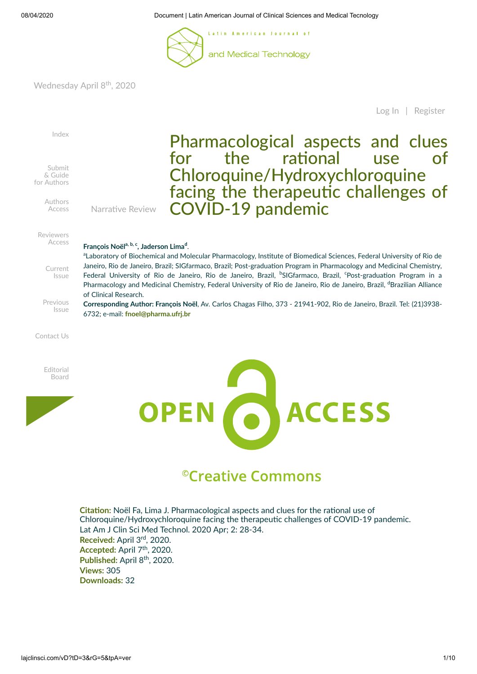

Wednesday April 8<sup>th</sup>, 2020

[Log](http://lajclinsci.com/user/login) In | [Register](http://lajclinsci.com/aU)



# <sup>©</sup>Creative Commons

**Citation:** Noël Fa, Lima J. Pharmacological aspects and clues for the rational use of Chloroquine/Hydroxychloroquine facing the therapeutic challenges of COVID-19 pandemic. Lat Am J Clin Sci Med Technol. 2020 Apr; 2: 28-34. Received: April 3<sup>rd</sup>, 2020. Accepted: April 7<sup>th</sup>, 2020. Published: April 8<sup>th</sup>, 2020. **Views:** 305 **Downloads:** 32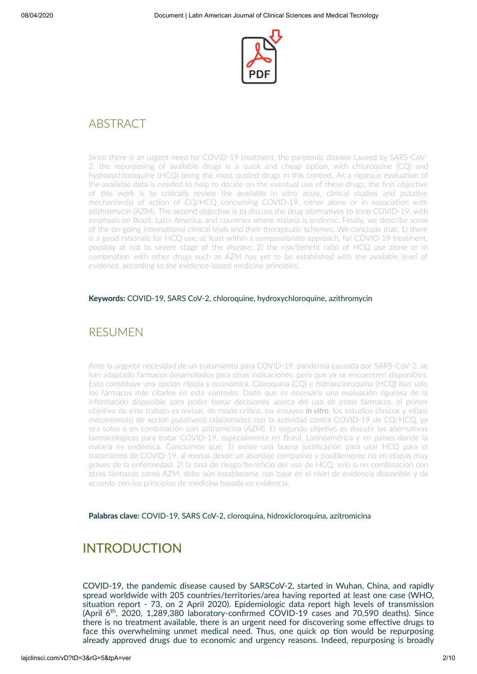

## ABSTRACT

Since there is an urgent need for COVID-19 treatment, the pandemic disease caused by SARS-CoV-2, the repurposing of available drugs is a quick and cheap option, with chloroquine  $(CQ)$  and hydroxychloroquine (HCQ) being the most quoted drugs in this context. As a rigorous evaluation of the available data is needed to help to decide on the eventual use of these drugs, the first objective of this work is to critically review the available in vitro assay, clinical studies and putative mechanism(s) of action of CQ/HCQ concerning COVID-19, either alone or in association with azithromycin (AZM). The second objective is to discuss the drug alternatives to treat COVID-19, with emphasis on Brazil, Latin America, and countries where malaria is endemic. Finally, we describe some of the on-going international clinical trials and their therapeutic schemes. We conclude that: 1) there is a good rationale for HCQ use, at least within a compassionate approach, for COVID-19 treatment, possibly at not to severe stage of the disease; 2) the risk/benefit ratio of HCQ use alone or in combination with other drugs such as AZM has yet to be established with the available level of evidence, according to the evidence-based medicine principles.

#### **Keywords:** COVID-19, SARS CoV-2, chloroquine, hydroxychloroquine, azithromycin

### RESUMEN

Ante la urgente necesidad de un tratamiento para COVID-19, pandemia causada por SARS-CoV-2, se han adaptado fármacos desarrollados para otras indicaciones, pero que ya se encuentren disponibles. Esto constituye una opción rápida y económica. Cloroquina (CQ) e hidroxicloroquina (HCQ) han sido los fármacos más citados en este contexto. Dado que es necesaria una evaluación rigurosa de la información disponible para poder tomar decisiones acerca del uso de estos fármacos, el primer objetivo de este trabajo es revisar, de modo crítico, los ensayos *in vitro*, los estudios clínicos y el(los) mecanismo(s) de acción putativo(s) ralacionados con la actividad contra COVID-19 de CQ/HCQ, va sea solos o en combinación con azitromicina (AZM). El segundo objetivo es discutir las alternativas farmacológicas para tratar COVID-19, especialmente en Brasil, Latinoamérica y en países donde la malaria es endémica. Concluimos que: 1) existe una buena jusficación para usar HCQ para el tratamiento de COVID-19, al menos desde un abordaje compasivo y posiblemente no en etapas muy graves de la enfermedad; 2) la tasa de riesgo/beneficio del uso de HCQ, solo o en combinación con otros fármacos como AZM, debe aún establecerse con base en el nivel de evidencia disponible y de acuerdo con los principios de medicina basada en evidencia.

**Palabras clave:** COVID-19, SARS CoV-2, cloroquina, hidroxicloroquina, azitromicina

## INTRODUCTION

COVID-19, the pandemic disease caused by SARSCoV-2, started in Wuhan, China, and rapidly spread worldwide with 205 countries/territories/area having reported at least one case (WHO, situation report - 73, on 2 April 2020). Epidemiologic data report high levels of transmission (April 6<sup>th</sup>, 2020, 1,289,380 laboratory-confirmed COVID-19 cases and 70,590 deaths). Since there is no treatment available, there is an urgent need for discovering some effective drugs to face this overwhelming unmet medical need. Thus, one quick op tion would be repurposing already approved drugs due to economic and urgency reasons. Indeed, repurposing is broadly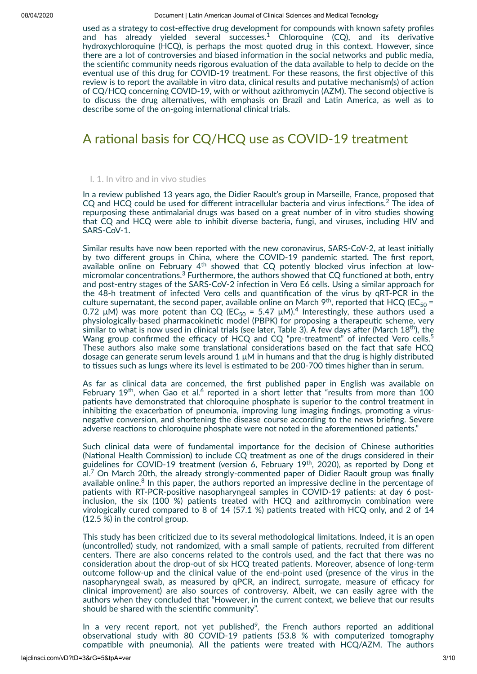used as a strategy to cost-effective drug development for compounds with known safety profiles and has already yielded several successes.<sup>1</sup> Chloroquine (CQ), and its derivative hydroxychloroquine (HCQ), is perhaps the most quoted drug in this context. However, since there are a lot of controversies and biased information in the social networks and public media, the scientific community needs rigorous evaluation of the data available to help to decide on the eventual use of this drug for COVID-19 treatment. For these reasons, the first objective of this review is to report the available in vitro data, clinical results and putative mechanism(s) of action of CQ/HCQ concerning COVID-19, with or without azithromycin (AZM). The second objective is to discuss the drug alternatives, with emphasis on Brazil and Latin America, as well as to describe some of the on-going international clinical trials.

## A rational basis for CQ/HCQ use as COVID-19 treatment

#### I. 1. In vitro and in vivo studies

In a review published 13 years ago, the Didier Raoult's group in Marseille, France, proposed that  $CQ$  and HCQ could be used for different intracellular bacteria and virus infections.<sup>2</sup> The idea of repurposing these antimalarial drugs was based on a great number of in vitro studies showing that CQ and HCQ were able to inhibit diverse bacteria, fungi, and viruses, including HIV and SARS-CoV-1.

Similar results have now been reported with the new coronavirus, SARS-CoV-2, at least initially by two different groups in China, where the COVID-19 pandemic started. The first report, available online on February 4<sup>th</sup> showed that CQ potently blocked virus infection at lowmicromolar concentrations. $3$  Furthermore, the authors showed that CQ functioned at both, entry and post-entry stages of the SARS-CoV-2 infection in Vero E6 cells. Using a similar approach for the 48-h treatment of infected Vero cells and quantification of the virus by qRT-PCR in the culture supernatant, the second paper, available online on March 9<sup>th</sup>, reported that HCQ (EC<sub>50</sub> = 0.72 μM) was more potent than CQ (EC<sub>50</sub> = 5.47 μM).<sup>4</sup> Interestingly, these authors used a physiologically-based pharmacokinetic model (PBPK) for proposing a therapeutic scheme, very similar to what is now used in clinical trials (see later, Table 3). A few days after (March 18<sup>th</sup>), the Wang group confirmed the efficacy of HCQ and CQ "pre-treatment" of infected Vero cells.<sup>5</sup> These authors also make some translational considerations based on the fact that safe HCQ dosage can generate serum levels around 1 μM in humans and that the drug is highly distributed to tissues such as lungs where its level is estimated to be 200-700 times higher than in serum.

As far as clinical data are concerned, the first published paper in English was available on February 19<sup>th</sup>, when Gao et al.<sup>6</sup> reported in a short letter that "results from more than 100 patients have demonstrated that chloroquine phosphate is superior to the control treatment in inhibiting the exacerbation of pneumonia, improving lung imaging findings, promoting a virusnegative conversion, and shortening the disease course according to the news briefing. Severe adverse reactions to chloroquine phosphate were not noted in the aforementioned patients."

Such clinical data were of fundamental importance for the decision of Chinese authorities (National Health Commission) to include CQ treatment as one of the drugs considered in their guidelines for COVID-19 treatment (version 6, February 19<sup>th</sup>, 2020), as reported by Dong et al.<sup>7</sup> On March 20th, the already strongly-commented paper of Didier Raoult group was finally available online.<sup>8</sup> In this paper, the authors reported an impressive decline in the percentage of patients with RT-PCR-positive nasopharyngeal samples in COVID-19 patients: at day 6 postinclusion, the six (100 %) patients treated with HCQ and azithromycin combination were virologically cured compared to 8 of 14 (57.1 %) patients treated with HCQ only, and 2 of 14 (12.5 %) in the control group.

This study has been criticized due to its several methodological limitations. Indeed, it is an open (uncontrolled) study, not randomized, with a small sample of patients, recruited from different centers. There are also concerns related to the controls used, and the fact that there was no consideration about the drop-out of six HCQ treated patients. Moreover, absence of long-term outcome follow-up and the clinical value of the end-point used (presence of the virus in the nasopharyngeal swab, as measured by qPCR, an indirect, surrogate, measure of efficacy for clinical improvement) are also sources of controversy. Albeit, we can easily agree with the authors when they concluded that "However, in the current context, we believe that our results should be shared with the scientific community".

In a very recent report, not yet published<sup>9</sup>, the French authors reported an additional observational study with 80 COVID-19 patients  $(53.8 \times \text{with}$  computerized tomography compatible with pneumonia). All the patients were treated with HCQ/AZM. The authors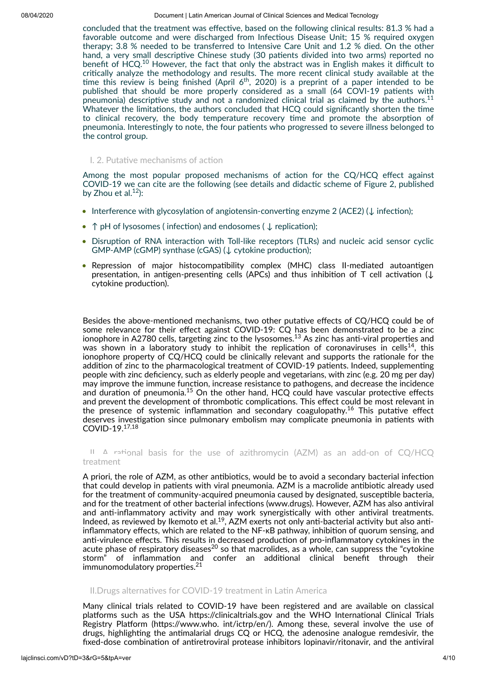concluded that the treatment was effective, based on the following clinical results: 81.3 % had a favorable outcome and were discharged from Infectious Disease Unit; 15 % required oxygen therapy; 3.8 % needed to be transferred to Intensive Care Unit and 1.2 % died. On the other hand, a very small descriptive Chinese study (30 patients divided into two arms) reported no benefit of HCQ.<sup>10</sup> However, the fact that only the abstract was in English makes it difficult to critically analyze the methodology and results. The more recent clinical study available at the time this review is being finished (April  $6<sup>th</sup>$ , 2020) is a preprint of a paper intended to be published that should be more properly considered as a small (64 COVI-19 patients with pneumonia) descriptive study and not a randomized clinical trial as claimed by the authors.<sup>11</sup> Whatever the limitations, the authors concluded that HCQ could significantly shorten the time to clinical recovery, the body temperature recovery time and promote the absorption of pneumonia. Interestingly to note, the four patients who progressed to severe illness belonged to the control group.

#### I. 2. Putative mechanisms of action

Among the most popular proposed mechanisms of action for the  $CQ/HCQ$  effect against COVID-19 we can cite are the following (see details and didactic scheme of Figure 2, published by Zhou et al. $12$ ):

- Interference with glycosylation of angiotensin-converting enzyme 2 (ACE2) ( $\downarrow$  infection);
- ↑ pH of lysosomes (infection) and endosomes (↓ replication);
- Disruption of RNA interaction with Toll-like receptors (TLRs) and nucleic acid sensor cyclic GMP-AMP (cGMP) synthase (cGAS) (↓ cytokine production);
- Repression of major histocompatibility complex (MHC) class II-mediated autoantigen presentation, in antigen-presenting cells (APCs) and thus inhibition of T cell activation ( $\downarrow$ cytokine production).

Besides the above-mentioned mechanisms, two other putative effects of CQ/HCQ could be of some relevance for their effect against COVID-19: CQ has been demonstrated to be a zinc ionophore in A2780 cells, targeting zinc to the lysosomes. $^{13}$  As zinc has anti-viral properties and was shown in a laboratory study to inhibit the replication of coronaviruses in cells<sup>14</sup>, this ionophore property of  $CQ/HCQ$  could be clinically relevant and supports the rationale for the addition of zinc to the pharmacological treatment of COVID-19 patients. Indeed, supplementing people with zinc deficiency, such as elderly people and vegetarians, with zinc (e.g. 20 mg per day) may improve the immune function, increase resistance to pathogens, and decrease the incidence and duration of pneumonia. $^{15}$  On the other hand, HCQ could have vascular protective effects and prevent the development of thrombotic complications. This effect could be most relevant in the presence of systemic inflammation and secondary coagulopathy.<sup>16</sup> This putative effect deserves investigation since pulmonary embolism may complicate pneumonia in patients with COVID-19. 17,18

II.  $\Delta$  rational basis for the use of azithromycin (AZM) as an add-on of CQ/HCQ treatment

A priori, the role of AZM, as other antibiotics, would be to avoid a secondary bacterial infection that could develop in patients with viral pneumonia. AZM is a macrolide antibiotic already used for the treatment of community-acquired pneumonia caused by designated, susceptible bacteria, and for the treatment of other bacterial infections (www.drugs). However, AZM has also antiviral and anti-inflammatory activity and may work synergistically with other antiviral treatments. Indeed, as reviewed by Ikemoto et al.<sup>19</sup>, AZM exerts not only anti-bacterial activity but also antiinflammatory effects, which are related to the NF-κB pathway, inhibition of quorum sensing, and anti-virulence effects. This results in decreased production of pro-inflammatory cytokines in the acute phase of respiratory diseases $^{20}$  so that macrolides, as a whole, can suppress the "cytokine storm" of inflammation and confer an additional clinical benefit through their  $immunomodulatory properties.<sup>21</sup>$ 

#### II.Drugs alternatives for COVID-19 treatment in Latin America

Many clinical trials related to COVID-19 have been registered and are available on classical platforms such as the USA https://clinicaltrials.gov and the WHO International Clinical Trials Registry Platform (https://www.who. int/ictrp/en/). Among these, several involve the use of drugs, highlighting the antimalarial drugs CQ or HCQ, the adenosine analogue remdesivir, the fixed-dose combination of antiretroviral protease inhibitors lopinavir/ritonavir, and the antiviral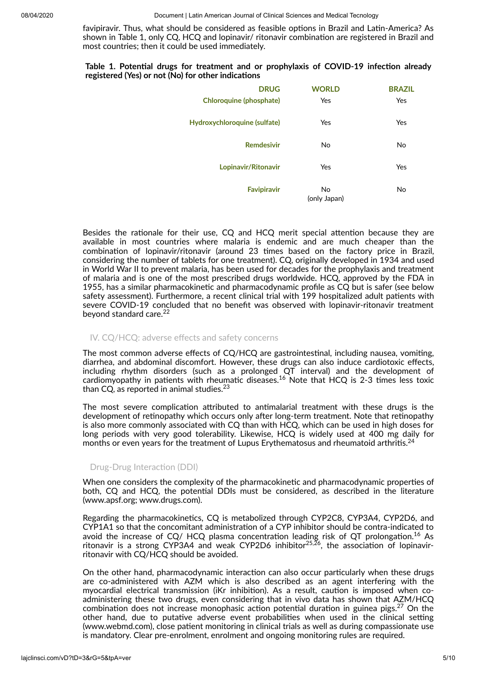favipiravir. Thus, what should be considered as feasible options in Brazil and Latin-America? As shown in Table 1, only CQ, HCQ and lopinavir/ ritonavir combination are registered in Brazil and most countries; then it could be used immediately.

#### **Table 1. Potential drugs for treatment and or prophylaxis of COVID-19 infection already registered** (Yes) or not (No) for other indications

| <b>DRUG</b>                  | <b>WORLD</b>       | <b>BRAZIL</b> |
|------------------------------|--------------------|---------------|
| Chloroquine (phosphate)      | Yes                | Yes           |
| Hydroxychloroquine (sulfate) | Yes                | Yes           |
| <b>Remdesivir</b>            | No                 | No            |
| Lopinavir/Ritonavir          | Yes                | Yes           |
| <b>Favipiravir</b>           | No<br>(only Japan) | No            |

Besides the rationale for their use, CQ and HCQ merit special attention because they are available in most countries where malaria is endemic and are much cheaper than the combination of lopinavir/ritonavir (around 23 times based on the factory price in Brazil, considering the number of tablets for one treatment). CQ, originally developed in 1934 and used in World War II to prevent malaria, has been used for decades for the prophylaxis and treatment of malaria and is one of the most prescribed drugs worldwide. HCQ, approved by the FDA in 1955, has a similar pharmacokinetic and pharmacodynamic profile as CQ but is safer (see below safety assessment). Furthermore, a recent clinical trial with 199 hospitalized adult patients with severe COVID-19 concluded that no benefit was observed with lopinavir-ritonavir treatment beyond standard care. 22

#### IV. CQ/HCQ: adverse effects and safety concerns

The most common adverse effects of CQ/HCQ are gastrointestinal, including nausea, vomiting, diarrhea, and abdominal discomfort. However, these drugs can also induce cardiotoxic effects, including rhythm disorders (such as a prolonged QT interval) and the development of cardiomyopathy in patients with rheumatic diseases.<sup>16</sup> Note that HCQ is 2-3 times less toxic than CQ, as reported in animal studies. $^{23}$ 

The most severe complication attributed to antimalarial treatment with these drugs is the development of retinopathy which occurs only after long-term treatment. Note that retinopathy is also more commonly associated with CQ than with HCQ, which can be used in high doses for long periods with very good tolerability. Likewise, HCQ is widely used at 400 mg daily for months or even years for the treatment of Lupus Erythematosus and rheumatoid arthritis.<sup>24</sup>

#### Drug-Drug Interaction (DDI)

When one considers the complexity of the pharmacokinetic and pharmacodynamic properties of both, CQ and HCQ, the potential DDIs must be considered, as described in the literature (www.apsf.org; www.drugs.com).

Regarding the pharmacokinetics, CQ is metabolized through CYP2C8, CYP3A4, CYP2D6, and CYP1A1 so that the concomitant administration of a CYP inhibitor should be contra-indicated to avoid the increase of CQ/HCQ plasma concentration leading risk of QT prolongation.<sup>16</sup> As ritonavir is a strong CYP3A4 and weak CYP2D6 inhibitor $^{25,\overline{26}},$  the association of lopinavirritonavir with CQ/HCQ should be avoided.

On the other hand, pharmacodynamic interaction can also occur particularly when these drugs are co-administered with AZM which is also described as an agent interfering with the myocardial electrical transmission (iKr inhibition). As a result, caution is imposed when coadministering these two drugs, even considering that in vivo data has shown that AZM/HCQ combination does not increase monophasic action potential duration in guinea pigs.<sup>27</sup> On the other hand, due to putative adverse event probabilities when used in the clinical setting (www.webmd.com), close patient monitoring in clinical trials as well as during compassionate use is mandatory. Clear pre-enrolment, enrolment and ongoing monitoring rules are required.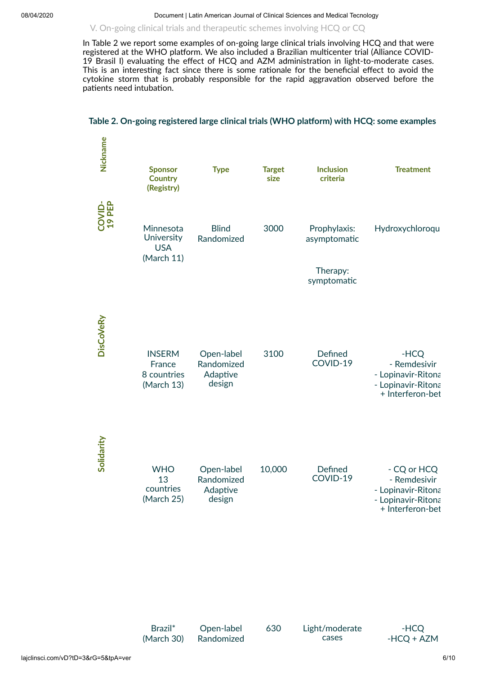V. On-going clinical trials and therapeutic schemes involving HCQ or CQ

In Table 2 we report some examples of on-going large clinical trials involving HCQ and that were registered at the WHO platform. We also included a Brazilian multicenter trial (Alliance COVID-19 Brasil I) evaluating the effect of HCQ and AZM administration in light-to-moderate cases. This is an interesting fact since there is some rationale for the beneficial effect to avoid the  $cy$ tokine storm that is probably responsible for the rapid aggravation observed before the patients need intubation.

#### **Table 2. On-going registered large clinical trials (WHO plaorm) with HCQ: some examples**

| Nickname         | <b>Sponsor</b><br><b>Country</b><br>(Registry)       | <b>Type</b>                                    | <b>Target</b><br>size | <b>Inclusion</b><br>criteria                            | <b>Treatment</b>                                                                            |
|------------------|------------------------------------------------------|------------------------------------------------|-----------------------|---------------------------------------------------------|---------------------------------------------------------------------------------------------|
| COVID-<br>19 PEP | Minnesota<br>University<br><b>USA</b><br>(March 11)  | <b>Blind</b><br>Randomized                     | 3000                  | Prophylaxis:<br>asymptomatic<br>Therapy:<br>symptomatic | Hydroxychloroqu                                                                             |
| DisCoVeRy        | <b>INSERM</b><br>France<br>8 countries<br>(March 13) | Open-label<br>Randomized<br>Adaptive<br>design | 3100                  | Defined<br>COVID-19                                     | -HCQ<br>- Remdesivir<br>- Lopinavir-Ritona<br>- Lopinavir-Ritona<br>+ Interferon-bet        |
| Solidarity       | <b>WHO</b><br>13<br>countries<br>(March 25)          | Open-label<br>Randomized<br>Adaptive<br>design | 10,000                | Defined<br>COVID-19                                     | - CQ or HCQ<br>- Remdesivir<br>- Lopinavir-Ritona<br>- Lopinavir-Ritona<br>+ Interferon-bet |

| Brazil <sup>*</sup> | Op  |
|---------------------|-----|
| (March 30)          | Rar |

pen-label **ndomized** 

630 Light/moderate cases

-HCQ -HCQ + AZM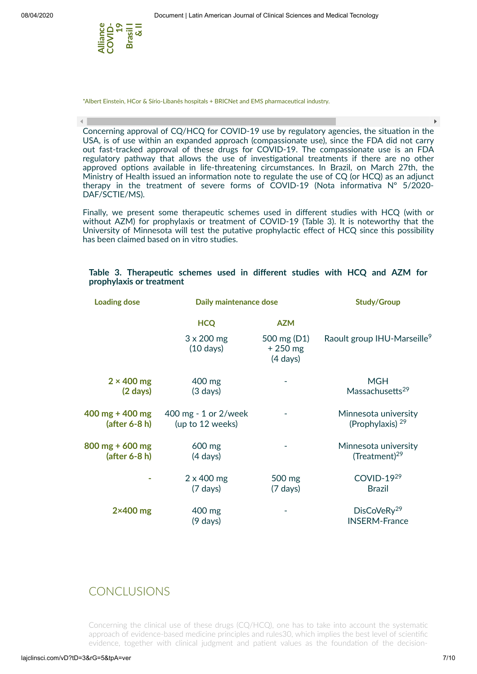

 $\left| \cdot \right|$ 

\*Albert Einstein, HCor & Sírio-Libanês hospitals + BRICNet and EMS pharmaceutical industry.

Concerning approval of CQ/HCQ for COVID-19 use by regulatory agencies, the situation in the USA, is of use within an expanded approach (compassionate use), since the FDA did not carry out fast-tracked approval of these drugs for COVID-19. The compassionate use is an FDA regulatory pathway that allows the use of investigational treatments if there are no other approved options available in life-threatening circumstances. In Brazil, on March 27th, the Ministry of Health issued an information note to regulate the use of  $CQ$  (or  $HCQ$ ) as an adjunct therapy in the treatment of severe forms of  $\text{COVID-19}$  (Nota informativa N° 5/2020-DAF/SCTIE/MS).

Finally, we present some therapeutic schemes used in different studies with HCQ (with or without AZM) for prophylaxis or treatment of COVID-19 (Table 3). It is noteworthy that the University of Minnesota will test the putative prophylactic effect of HCQ since this possibility has been claimed based on in vitro studies.

|  | Table 3. Therapeutic schemes used in different studies with HCQ and AZM for |  |  |  |  |  |
|--|-----------------------------------------------------------------------------|--|--|--|--|--|
|  | prophylaxis or treatment                                                    |  |  |  |  |  |

| <b>Loading dose</b> | Daily maintenance dose                   | <b>Study/Group</b>                             |                                                 |  |
|---------------------|------------------------------------------|------------------------------------------------|-------------------------------------------------|--|
|                     | <b>HCQ</b>                               | <b>AZM</b>                                     |                                                 |  |
|                     | $3 \times 200$ mg<br>$(10 \text{ days})$ | 500 mg (D1)<br>$+250$ mg<br>$(4 \text{ days})$ | Raoult group IHU-Marseille <sup>9</sup>         |  |
| $2 \times 400$ mg   | 400 mg                                   |                                                | <b>MGH</b>                                      |  |
| $(2 \text{ days})$  | $(3 \text{ days})$                       |                                                | Massachusetts <sup>29</sup>                     |  |
| 400 mg + 400 mg     | 400 mg - 1 or 2/week                     |                                                | Minnesota university                            |  |
| (after 6-8 h)       | (up to 12 weeks)                         |                                                | (Prophylaxis) $29$                              |  |
| 800 mg + 600 mg     | 600 mg                                   |                                                | Minnesota university                            |  |
| $(after 6-8 h)$     | $(4 \text{ days})$                       |                                                | (Treatment) $29$                                |  |
|                     | $2 \times 400$ mg                        | 500 mg                                         | COVID-1929                                      |  |
|                     | $(7 \text{ days})$                       | $(7 \text{ days})$                             | <b>Brazil</b>                                   |  |
| $2\times400$ mg     | 400 mg<br>$(9 \text{ days})$             |                                                | DisCoVeRy <sup>29</sup><br><b>INSERM-France</b> |  |

### **CONCLUSIONS**

Concerning the clinical use of these drugs (CQ/HCQ), one has to take into account the systematic approach of evidence-based medicine principles and rules30, which implies the best level of scientific evidence, together with clinical judgment and patient values as the foundation of the decision-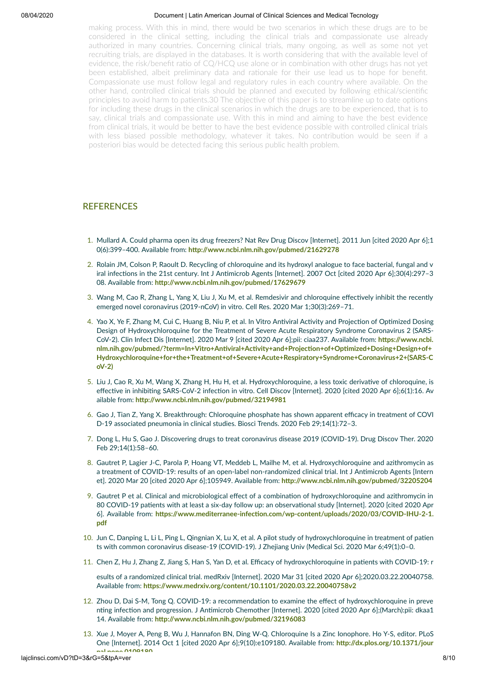making process. With this in mind, there would be two scenarios in which these drugs are to be considered in the clinical setting, including the clinical trials and compassionate use already authorized in many countries. Concerning clinical trials, many ongoing, as well as some not yet recruiting trials, are displayed in the databases. It is worth considering that with the available level of evidence, the risk/benefit ratio of CQ/HCQ use alone or in combination with other drugs has not yet been established, albeit preliminary data and rationale for their use lead us to hope for benefit. Compassionate use must follow legal and regulatory rules in each country where available. On the other hand, controlled clinical trials should be planned and executed by following ethical/scienfic principles to avoid harm to patients.30 The objective of this paper is to streamline up to date options for including these drugs in the clinical scenarios in which the drugs are to be experienced, that is to say, clinical trials and compassionate use. With this in mind and aiming to have the best evidence from clinical trials, it would be better to have the best evidence possible with controlled clinical trials with less biased possible methodology, whatever it takes. No contribution would be seen if a posteriori bias would be detected facing this serious public health problem.

#### **REFERENCES**

- 1. Mullard A. Could pharma open its drug freezers? Nat Rev Drug Discov [Internet]. 2011 Jun [cited 2020 Apr 6];1 0(6):399-400. Available from: http://www.ncbi.nlm.nih.gov/pubmed/21629278
- 2. Rolain JM, Colson P, Raoult D. Recycling of chloroquine and its hydroxyl analogue to face bacterial, fungal and v iral infections in the 21st century. Int J Antimicrob Agents [Internet]. 2007 Oct [cited 2020 Apr 6];30(4):297-3 08. Available from: http://www.ncbi.nlm.nih.gov/pubmed/17629679
- 3. Wang M, Cao R, Zhang L, Yang X, Liu J, Xu M, et al. Remdesivir and chloroquine effectively inhibit the recently emerged novel coronavirus (2019-nCoV) in vitro. Cell Res. 2020 Mar 1;30(3):269–71.
- 4. Yao X, Ye F, Zhang M, Cui C, Huang B, Niu P, et al. In Vitro Antiviral Activity and Projection of Optimized Dosing Design of Hydroxychloroquine for the Treatment of Severe Acute Respiratory Syndrome Coronavirus 2 (SARS-CoV-2). Clin Infect Dis [Internet]. 2020 Mar 9 [cited 2020 Apr 6];pii: ciaa237. Available from: https://www.ncbi.  $nlm.nih.gov/publiced/?term=ln+Vitro+Antiviral+Activity+and+Projection+of+Optimized+Dosing+Design+of+$ **[Hydroxychloroquine+for+the+Treatment+of+Severe+Acute+Respiratory+Syndrome+Coronavirus+2+\(SARS-C](https://www.ncbi.nlm.nih.gov/pubmed/?term=In+Vitro+Antiviral+Activity+and+Projection+of+Optimized+Dosing+Design+of+Hydroxychloroquine+for+the+Treatment+of+Severe+Acute+Respiratory+Syndrome+Coronavirus+2+(SARS-CoV-2)) oV-2)**
- 5. Liu J, Cao R, Xu M, Wang X, Zhang H, Hu H, et al. Hydroxychloroquine, a less toxic derivative of chloroquine, is effective in inhibiting SARS-CoV-2 infection in vitro. Cell Discov [Internet]. 2020 [cited 2020 Apr 6];6(1):16. Av ailable from: http://www.ncbi.nlm.nih.gov/pubmed/32194981
- 6. Gao J, Tian Z, Yang X. Breakthrough: Chloroquine phosphate has shown apparent efficacy in treatment of COVI D-19 associated pneumonia in clinical studies. Biosci Trends. 2020 Feb 29;14(1):72–3.
- 7. Dong L, Hu S, Gao J. Discovering drugs to treat coronavirus disease 2019 (COVID-19). Drug Discov Ther. 2020 Feb 29;14(1):58–60.
- 8. Gautret P, Lagier J-C, Parola P, Hoang VT, Meddeb L, Mailhe M, et al. Hydroxychloroquine and azithromycin as a treatment of COVID-19: results of an open-label non-randomized clinical trial. Int J Antimicrob Agents [Intern et]. 2020 Mar 20 [cited 2020 Apr 6];105949. Available from: **[hp://www.ncbi.nlm.nih.gov/pubmed/32205204](http://www.ncbi.nlm.nih.gov/pubmed/32205204)**
- 9. Gautret P et al. Clinical and microbiological effect of a combination of hydroxychloroquine and azithromycin in 80 COVID-19 patients with at least a six-day follow up: an observational study [Internet]. 2020 [cited 2020 Apr 6]. Available from: https://www.mediterranee-infection.com/wp-content/uploads/2020/03/COVID-IHU-2-1. **pdf**
- 10. Jun C, Danping L, Li L, Ping L, Qingnian X, Lu X, et al. A pilot study of hydroxychloroquine in treatment of patien ts with common coronavirus disease-19 (COVID-19). J Zhejiang Univ (Medical Sci. 2020 Mar 6;49(1):0–0.
- 11. Chen Z, Hu J, Zhang Z, Jiang S, Han S, Yan D, et al. Efficacy of hydroxychloroquine in patients with COVID-19: r

esults of a randomized clinical trial. medRxiv [Internet]. 2020 Mar 31 [cited 2020 Apr 6];2020.03.22.20040758. Available from: **[hps://www.medrxiv.org/content/10.1101/2020.03.22.20040758v2](https://www.medrxiv.org/content/10.1101/2020.03.22.20040758v2)**

- 12. Zhou D, Dai S-M, Tong Q. COVID-19: a recommendation to examine the effect of hydroxychloroquine in preve nting infection and progression. J Antimicrob Chemother [Internet]. 2020 [cited 2020 Apr 6];(March):pii: dkaa1 14. Available from: http://www.ncbi.nlm.nih.gov/pubmed/32196083
- 13. Xue J, Moyer A, Peng B, Wu J, Hannafon BN, Ding W-Q. Chloroquine Is a Zinc Ionophore. Ho Y-S, editor. PLoS One [Internet]. 2014 Oct 1 [cited 2020 Apr 6];9(10):e109180. Available from: http://dx.plos.org/10.1371/jour **nal pone 0109180**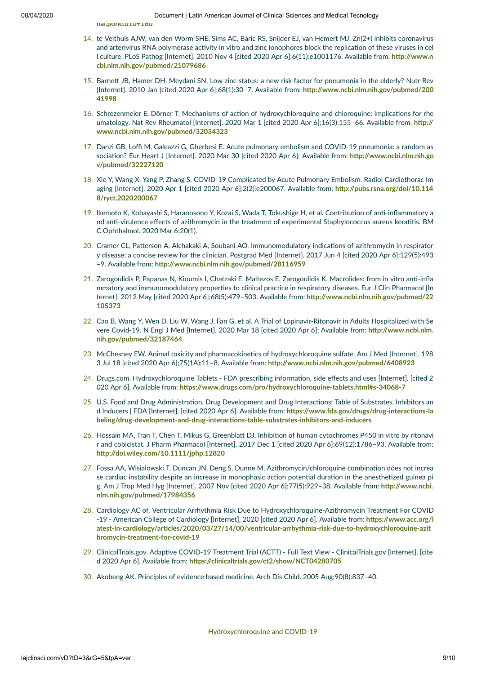**[nal.pone.0109180](http://dx.plos.org/10.1371/journal.pone.0109180)**

- 14. te Velthuis AJW, van den Worm SHE, Sims AC, Baric RS, Snijder EJ, van Hemert MJ. Zn(2+) inhibits coronavirus and arterivirus RNA polymerase activity in vitro and zinc ionophores block the replication of these viruses in cel l culture. PLoS Pathog [Internet]. 2010 Nov 4 [cited 2020 Apr 6];6(11):e1001176. Available from: http://www.n **[cbi.nlm.nih.gov/pubmed/21079686](http://www.ncbi.nlm.nih.gov/pubmed/21079686)**
- 15. Barnett JB, Hamer DH, Meydani SN. Low zinc status: a new risk factor for pneumonia in the elderly? Nutr Rev [Internet]. 2010 Jan [cited 2020 Apr 6];68(1):30-7. Available from: http://www.ncbi.nlm.nih.gov/pubmed/200 **41998**
- 16. Schrezenmeier E, Dörner T. Mechanisms of action of hydroxychloroquine and chloroquine: implications for rhe umatology. Nat Rev Rheumatol [Internet]. 2020 Mar 1 [cited 2020 Apr 6];16(3):155-66. Available from: http:// **[www.ncbi.nlm.nih.gov/pubmed/32034323](http://www.ncbi.nlm.nih.gov/pubmed/32034323)**
- 17. Danzi GB, Loffi M, Galeazzi G, Gherbesi E. Acute pulmonary embolism and COVID-19 pneumonia: a random as sociation? Eur Heart J [Internet]. 2020 Mar 30 [cited 2020 Apr 6]; Available from: http://www.ncbi.nlm.nih.go **v/pubmed/32227120**
- 18. Xie Y, Wang X, Yang P, Zhang S. COVID-19 Complicated by Acute Pulmonary Embolism. Radiol Cardiothorac Im aging [Internet]. 2020 Apr 1 [cited 2020 Apr 6];2(2):e200067. Available from: http://pubs.rsna.org/doi/10.114 **8/ryct.2020200067**
- 19. Ikemoto K, Kobayashi S, Haranosono Y, Kozai S, Wada T, Tokushige H, et al. Contribution of anti-inflammatory a nd anti-virulence effects of azithromycin in the treatment of experimental Staphylococcus aureus keratitis. BM C Ophthalmol. 2020 Mar 6;20(1).
- 20. Cramer CL, Patterson A, Alchakaki A, Soubani AO. Immunomodulatory indications of azithromycin in respirator y disease: a concise review for the clinician. Postgrad Med [Internet]. 2017 Jun 4 [cited 2020 Apr 6];129(5):493 -9. Available from: http://www.ncbi.nlm.nih.gov/pubmed/28116959
- 21. Zarogoulidis P, Papanas N, Kioumis I, Chatzaki E, Maltezos E, Zarogoulidis K. Macrolides: from in vitro anti-infla mmatory and immunomodulatory properties to clinical practice in respiratory diseases. Eur J Clin Pharmacol [In ternet]. 2012 May [cited 2020 Apr 6];68(5):479–503. Available from: **[hp://www.ncbi.nlm.nih.gov/pubmed/22](http://www.ncbi.nlm.nih.gov/pubmed/22105373) 105373**
- 22. Cao B, Wang Y, Wen D, Liu W, Wang J, Fan G, et al. A Trial of Lopinavir-Ritonavir in Adults Hospitalized with Se vere Covid-19. N Engl J Med [Internet]. 2020 Mar 18 [cited 2020 Apr 6]; Available from: http://www.ncbi.nlm. **[nih.gov/pubmed/32187464](http://www.ncbi.nlm.nih.gov/pubmed/32187464)**
- 23. McChesney EW. Animal toxicity and pharmacokinetics of hydroxychloroquine sulfate. Am J Med [Internet]. 198 3 Jul 18 [cited 2020 Apr 6];75(1A):11–8. Available from: **[hp://www.ncbi.nlm.nih.gov/pubmed/6408923](http://www.ncbi.nlm.nih.gov/pubmed/6408923)**
- 24. Drugs.com. Hydroxychloroquine Tablets FDA prescribing information, side effects and uses [Internet]. [cited 2 020 Apr 6]. Available from: https://www.drugs.com/pro/hydroxychloroquine-tablets.html#s-34068-7
- 25. U.S. Food and Drug Administration. Drug Development and Drug Interactions: Table of Substrates, Inhibitors an d Inducers | FDA [Internet]. [cited 2020 Apr 6]. Available from: https://www.fda.gov/drugs/drug-interactions-la **[beling/drug-development-and-drug-interacons-table-substrates-inhibitors-and-inducers](https://www.fda.gov/drugs/drug-interactions-labeling/drug-development-and-drug-interactions-table-substrates-inhibitors-and-inducers)**
- 26. Hossain MA, Tran T, Chen T, Mikus G, Greenblatt DJ. Inhibition of human cytochromes P450 in vitro by ritonavi r and cobicistat. J Pharm Pharmacol [Internet]. 2017 Dec 1 [cited 2020 Apr 6];69(12):1786–93. Available from: **[hp://doi.wiley.com/10.1111/jphp.12820](http://doi.wiley.com/10.1111/jphp.12820)**
- 27. Fossa AA, Wisialowski T, Duncan JN, Deng S, Dunne M. Azithromycin/chloroquine combination does not increa se cardiac instability despite an increase in monophasic action potential duration in the anesthetized guinea pi g. Am J Trop Med Hyg [Internet]. 2007 Nov [cited 2020 Apr 6];77(5):929-38. Available from: http://www.ncbi. **[nlm.nih.gov/pubmed/17984356](http://www.ncbi.nlm.nih.gov/pubmed/17984356)**
- 28. Cardiology AC of. Ventricular Arrhythmia Risk Due to Hydroxychloroquine-Azithromycin Treatment For COVID -19 - American College of Cardiology [Internet]. 2020 [cited 2020 Apr 6]. Available from: https://www.acc.org/l **[atest-in-cardiology/arcles/2020/03/27/14/00/ventricular-arrhythmia-risk-due-to-hydroxychloroquine-azit](https://www.acc.org/latest-in-cardiology/articles/2020/03/27/14/00/ventricular-arrhythmia-risk-due-to-hydroxychloroquine-azithromycin-treatment-for-covid-19) hromycin-treatment-for-covid-19**
- 29. ClinicalTrials.gov. Adaptive COVID-19 Treatment Trial (ACTT) Full Text View ClinicalTrials.gov [Internet]. [cite d 2020 Apr 6]. Available from: https://clinicaltrials.gov/ct2/show/NCT04280705
- 30. Akobeng AK. Principles of evidence based medicine. Arch Dis Child. 2005 Aug;90(8):837–40.